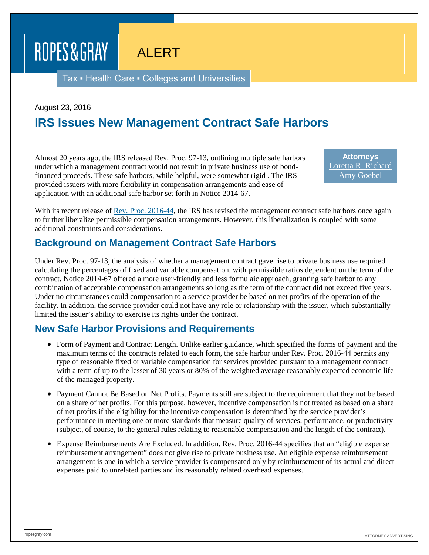# ALERT

Tax ▪ Health Care ▪ Colleges and Universities

August 23, 2016

ROPES & GRAY

## **IRS Issues New Management Contract Safe Harbors**

Almost 20 years ago, the IRS released Rev. Proc. 97-13, outlining multiple safe harbors under which a management contract would not result in private business use of bondfinanced proceeds. These safe harbors, while helpful, were somewhat rigid . The IRS provided issuers with more flexibility in compensation arrangements and ease of application with an additional safe harbor set forth in Notice 2014-67.

**Attorneys** [Loretta R. Richard](https://www.ropesgray.com/biographies/r/loretta-r-richard.aspx) [Amy Goebel](https://www.ropesgray.com/biographies/g/amy-goebel.aspx)

With its recent release of <u>Rev. Proc. 2016-44</u>, the IRS has revised the management contract safe harbors once again to further liberalize permissible compensation arrangements. However, this liberalization is coupled with some additional constraints and considerations.

### **Background on Management Contract Safe Harbors**

Under Rev. Proc. 97-13, the analysis of whether a management contract gave rise to private business use required calculating the percentages of fixed and variable compensation, with permissible ratios dependent on the term of the contract. Notice 2014-67 offered a more user-friendly and less formulaic approach, granting safe harbor to any combination of acceptable compensation arrangements so long as the term of the contract did not exceed five years. Under no circumstances could compensation to a service provider be based on net profits of the operation of the facility. In addition, the service provider could not have any role or relationship with the issuer, which substantially limited the issuer's ability to exercise its rights under the contract.

### **New Safe Harbor Provisions and Requirements**

- Form of Payment and Contract Length. Unlike earlier guidance, which specified the forms of payment and the maximum terms of the contracts related to each form, the safe harbor under Rev. Proc. 2016-44 permits any type of reasonable fixed or variable compensation for services provided pursuant to a management contract with a term of up to the lesser of 30 years or 80% of the weighted average reasonably expected economic life of the managed property.
- Payment Cannot Be Based on Net Profits. Payments still are subject to the requirement that they not be based on a share of net profits. For this purpose, however, incentive compensation is not treated as based on a share of net profits if the eligibility for the incentive compensation is determined by the service provider's performance in meeting one or more standards that measure quality of services, performance, or productivity (subject, of course, to the general rules relating to reasonable compensation and the length of the contract).
- Expense Reimbursements Are Excluded. In addition, Rev. Proc. 2016-44 specifies that an "eligible expense reimbursement arrangement" does not give rise to private business use. An eligible expense reimbursement arrangement is one in which a service provider is compensated only by reimbursement of its actual and direct expenses paid to unrelated parties and its reasonably related overhead expenses.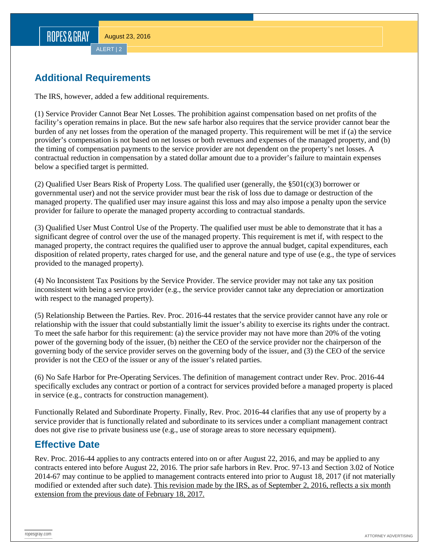## **Additional Requirements**

The IRS, however, added a few additional requirements.

(1) Service Provider Cannot Bear Net Losses. The prohibition against compensation based on net profits of the facility's operation remains in place. But the new safe harbor also requires that the service provider cannot bear the burden of any net losses from the operation of the managed property. This requirement will be met if (a) the service provider's compensation is not based on net losses or both revenues and expenses of the managed property, and (b) the timing of compensation payments to the service provider are not dependent on the property's net losses. A contractual reduction in compensation by a stated dollar amount due to a provider's failure to maintain expenses below a specified target is permitted.

(2) Qualified User Bears Risk of Property Loss. The qualified user (generally, the §501(c)(3) borrower or governmental user) and not the service provider must bear the risk of loss due to damage or destruction of the managed property. The qualified user may insure against this loss and may also impose a penalty upon the service provider for failure to operate the managed property according to contractual standards.

(3) Qualified User Must Control Use of the Property. The qualified user must be able to demonstrate that it has a significant degree of control over the use of the managed property. This requirement is met if, with respect to the managed property, the contract requires the qualified user to approve the annual budget, capital expenditures, each disposition of related property, rates charged for use, and the general nature and type of use (e.g., the type of services provided to the managed property).

(4) No Inconsistent Tax Positions by the Service Provider. The service provider may not take any tax position inconsistent with being a service provider (e.g., the service provider cannot take any depreciation or amortization with respect to the managed property).

(5) Relationship Between the Parties. Rev. Proc. 2016-44 restates that the service provider cannot have any role or relationship with the issuer that could substantially limit the issuer's ability to exercise its rights under the contract. To meet the safe harbor for this requirement: (a) the service provider may not have more than 20% of the voting power of the governing body of the issuer, (b) neither the CEO of the service provider nor the chairperson of the governing body of the service provider serves on the governing body of the issuer, and (3) the CEO of the service provider is not the CEO of the issuer or any of the issuer's related parties.

(6) No Safe Harbor for Pre-Operating Services. The definition of management contract under Rev. Proc. 2016-44 specifically excludes any contract or portion of a contract for services provided before a managed property is placed in service (e.g., contracts for construction management).

Functionally Related and Subordinate Property. Finally, Rev. Proc. 2016-44 clarifies that any use of property by a service provider that is functionally related and subordinate to its services under a compliant management contract does not give rise to private business use (e.g., use of storage areas to store necessary equipment).

## **Effective Date**

Rev. Proc. 2016-44 applies to any contracts entered into on or after August 22, 2016, and may be applied to any contracts entered into before August 22, 2016. The prior safe harbors in Rev. Proc. 97-13 and Section 3.02 of Notice 2014-67 may continue to be applied to management contracts entered into prior to August 18, 2017 (if not materially modified or extended after such date). This revision made by the IRS, as of September 2, 2016, reflects a six month extension from the previous date of February 18, 2017.